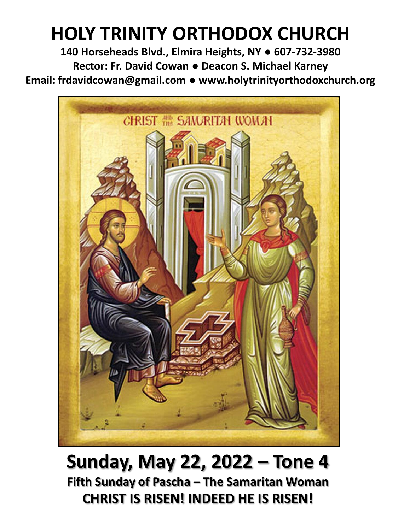# **HOLY TRINITY ORTHODOX CHURCH**

**140 Horseheads Blvd., Elmira Heights, NY ● 607-732-3980 Rector: Fr. David Cowan ● Deacon S. Michael Karney Email: frdavidcowan@gmail.com ● www.holytrinityorthodoxchurch.org**



**Sunday, May 22, 2022 – Tone 4 Fifth Sunday of Pascha – The Samaritan Woman CHRIST IS RISEN! INDEED HE IS RISEN!**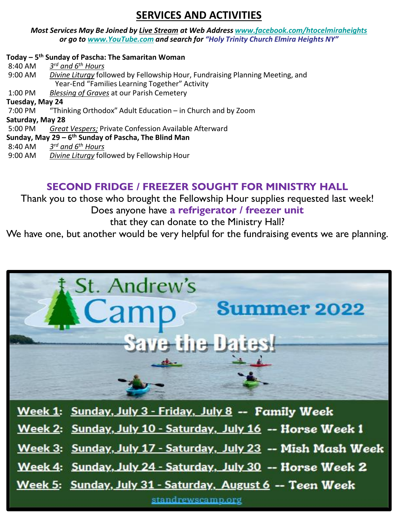# **SERVICES AND ACTIVITIES**

*Most Services May Be Joined by Live Stream at Web Address [www.facebook.com/htocelmiraheights](http://www.facebook.com/htocelmiraheights) or go to [www.YouTube.com](http://www.youtube.com/) and search for "Holy Trinity Church Elmira Heights NY"*

#### **Today – 5 th Sunday of Pascha: The Samaritan Woman**

8:40 AM *3 rd and 6th Hours* 9:00 AM *Divine Liturgy* followed by Fellowship Hour, Fundraising Planning Meeting, and Year-End "Families Learning Together" Activity 1:00 PM *Blessing of Graves* at our Parish Cemetery **Tuesday, May 24** 7:00 PM "Thinking Orthodox" Adult Education – in Church and by Zoom **Saturday, May 28** 5:00 PM *Great Vespers;* Private Confession Available Afterward **Sunday, May 29 – 6 th Sunday of Pascha, The Blind Man** 8:40 AM *3 rd and 6th Hours* 9:00 AM *Divine Liturgy* followed by Fellowship Hour

## **SECOND FRIDGE / FREEZER SOUGHT FOR MINISTRY HALL**

Thank you to those who brought the Fellowship Hour supplies requested last week! Does anyone have **a refrigerator / freezer unit** 

that they can donate to the Ministry Hall?

We have one, but another would be very helpful for the fundraising events we are planning.



Week 1: Sunday, July 3 - Friday, July 8 -- Family Week

Week 2: Sunday, July 10 - Saturday, July 16 -- Horse Week 1

Week 3: Sunday, July 17 - Saturday, July 23 -- Mish Mash Week

Week 4: Sunday, July 24 - Saturday, July 30 -- Horse Week 2

Week 5: Sunday, July 31 - Saturday, August 6 -- Teen Week

standrewscamp.org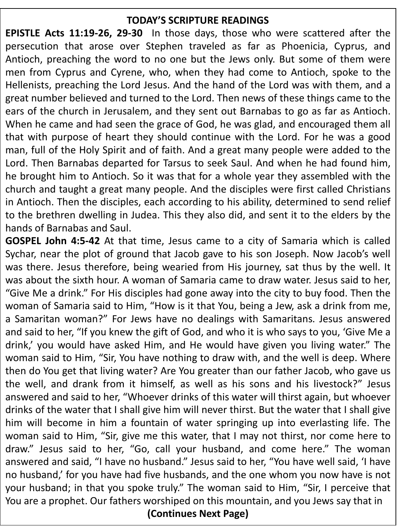## **TODAY'S SCRIPTURE READINGS**

**EPISTLE Acts 11:19-26, 29-30** In those days, those who were scattered after the persecution that arose over Stephen traveled as far as Phoenicia, Cyprus, and Antioch, preaching the word to no one but the Jews only. But some of them were men from Cyprus and Cyrene, who, when they had come to Antioch, spoke to the Hellenists, preaching the Lord Jesus. And the hand of the Lord was with them, and a great number believed and turned to the Lord. Then news of these things came to the ears of the church in Jerusalem, and they sent out Barnabas to go as far as Antioch. When he came and had seen the grace of God, he was glad, and encouraged them all that with purpose of heart they should continue with the Lord. For he was a good man, full of the Holy Spirit and of faith. And a great many people were added to the Lord. Then Barnabas departed for Tarsus to seek Saul. And when he had found him, he brought him to Antioch. So it was that for a whole year they assembled with the church and taught a great many people. And the disciples were first called Christians in Antioch. Then the disciples, each according to his ability, determined to send relief to the brethren dwelling in Judea. This they also did, and sent it to the elders by the hands of Barnabas and Saul.

**GOSPEL John 4:5-42** At that time, Jesus came to a city of Samaria which is called Sychar, near the plot of ground that Jacob gave to his son Joseph. Now Jacob's well was there. Jesus therefore, being wearied from His journey, sat thus by the well. It was about the sixth hour. A woman of Samaria came to draw water. Jesus said to her, "Give Me a drink." For His disciples had gone away into the city to buy food. Then the woman of Samaria said to Him, "How is it that You, being a Jew, ask a drink from me, a Samaritan woman?" For Jews have no dealings with Samaritans. Jesus answered and said to her, "If you knew the gift of God, and who it is who says to you, 'Give Me a drink,' you would have asked Him, and He would have given you living water." The woman said to Him, "Sir, You have nothing to draw with, and the well is deep. Where then do You get that living water? Are You greater than our father Jacob, who gave us the well, and drank from it himself, as well as his sons and his livestock?" Jesus answered and said to her, "Whoever drinks of this water will thirst again, but whoever drinks of the water that I shall give him will never thirst. But the water that I shall give him will become in him a fountain of water springing up into everlasting life. The woman said to Him, "Sir, give me this water, that I may not thirst, nor come here to draw." Jesus said to her, "Go, call your husband, and come here." The woman answered and said, "I have no husband." Jesus said to her, "You have well said, 'I have no husband,' for you have had five husbands, and the one whom you now have is not your husband; in that you spoke truly." The woman said to Him, "Sir, I perceive that You are a prophet. Our fathers worshiped on this mountain, and you Jews say that in

**(Continues Next Page)**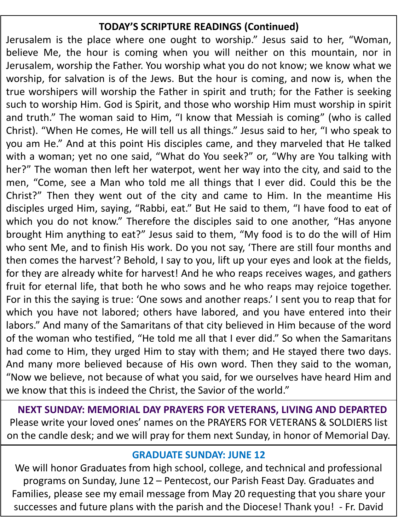## **TODAY'S SCRIPTURE READINGS (Continued)**

Jerusalem is the place where one ought to worship." Jesus said to her, "Woman, believe Me, the hour is coming when you will neither on this mountain, nor in Jerusalem, worship the Father. You worship what you do not know; we know what we worship, for salvation is of the Jews. But the hour is coming, and now is, when the true worshipers will worship the Father in spirit and truth; for the Father is seeking such to worship Him. God is Spirit, and those who worship Him must worship in spirit and truth." The woman said to Him, "I know that Messiah is coming" (who is called Christ). "When He comes, He will tell us all things." Jesus said to her, "I who speak to you am He." And at this point His disciples came, and they marveled that He talked with a woman; yet no one said, "What do You seek?" or, "Why are You talking with her?" The woman then left her waterpot, went her way into the city, and said to the men, "Come, see a Man who told me all things that I ever did. Could this be the Christ?" Then they went out of the city and came to Him. In the meantime His disciples urged Him, saying, "Rabbi, eat." But He said to them, "I have food to eat of which you do not know." Therefore the disciples said to one another, "Has anyone brought Him anything to eat?" Jesus said to them, "My food is to do the will of Him who sent Me, and to finish His work. Do you not say, 'There are still four months and then comes the harvest'? Behold, I say to you, lift up your eyes and look at the fields, for they are already white for harvest! And he who reaps receives wages, and gathers fruit for eternal life, that both he who sows and he who reaps may rejoice together. For in this the saying is true: 'One sows and another reaps.' I sent you to reap that for which you have not labored; others have labored, and you have entered into their labors." And many of the Samaritans of that city believed in Him because of the word of the woman who testified, "He told me all that I ever did." So when the Samaritans had come to Him, they urged Him to stay with them; and He stayed there two days. And many more believed because of His own word. Then they said to the woman, "Now we believe, not because of what you said, for we ourselves have heard Him and we know that this is indeed the Christ, the Savior of the world."

**NEXT SUNDAY: MEMORIAL DAY PRAYERS FOR VETERANS, LIVING AND DEPARTED** Please write your loved ones' names on the PRAYERS FOR VETERANS & SOLDIERS list on the candle desk; and we will pray for them next Sunday, in honor of Memorial Day.

#### **GRADUATE SUNDAY: JUNE 12**

We will honor Graduates from high school, college, and technical and professional programs on Sunday, June 12 – Pentecost, our Parish Feast Day. Graduates and Families, please see my email message from May 20 requesting that you share your successes and future plans with the parish and the Diocese! Thank you! - Fr. David